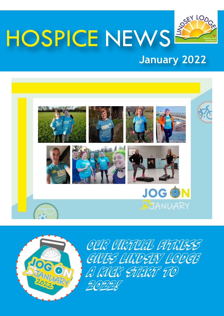

### **January 2022**



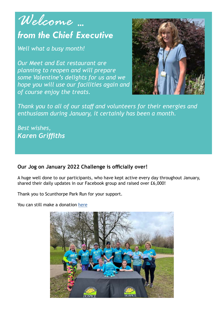## *Welcome ... from the Chief Executive*

*Well what a busy month!*

*Our Meet and Eat restaurant are planning to reopen and will prepare some Valentine's delights for us and we hope you will use our facilities again and of course enjoy the treats.*

![](_page_1_Picture_3.jpeg)

*Thank you to all of our staff and volunteers for their energies and enthusiasm during January, it certainly has been a month.*

*Best wishes, Karen Griffiths*

#### **Our Jog on January 2022 Challenge is officially over!**

A huge well done to our participants, who have kept active every day throughout January, shared their daily updates in our Facebook group and raised over £6,000!

Thank you to Scunthorpe Park Run for your support.

You can still make a donation [here](https://tinyurl.com/5n92se2h)

![](_page_1_Picture_10.jpeg)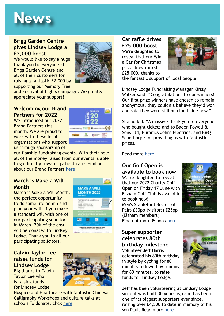## **News**

#### **Brigg Garden Centre gives Lindsey Lodge a £2,000 boost**

We would like to say a huge thank you to everyone at Brigg Garden Centre and all of their customers for raising a fantastic £2,000 by supporting our Memory Tree

![](_page_2_Picture_3.jpeg)

and Festival of Lights campaign. We greatly appreciate your support!

#### **Welcoming our Brand Partners for 2022**

We introduced our 2022 Brand Partners this month. We are proud to work with these local organisations who support us through sponsorship of

![](_page_2_Picture_7.jpeg)

our flagship fundraising events. With their help, all of the money raised from our events is able to go directly towards patient care. Find out about our Brand Partners [here](https://tinyurl.com/2p9nac9e)

#### **March is Make a Will Month**

March is Make a Will Month, the perfect opportunity to do some life admin and plan your will. If you make a standard will with one of our participating solicitors in March, 70% of the cost will be donated to Lindsey Lodge. Thank you to all our participating solicitors.

#### **Calvin Taylor Lee raises funds for Lindsey Lodge**

Big thanks to Calvin Taylor Lee who is raising funds for Lindsey Lodge

![](_page_2_Picture_13.jpeg)

![](_page_2_Picture_14.jpeg)

Hospice and Healthcare with fantastic Chinese Calligraphy Workshops and culture talks at schools To donate, click [here](https://tinyurl.com/2p9xs85n)

**Car raffle drives £25,000 boost** We're delighted to reveal that our Win a Car for Christmas prize draw raised £25,000, thanks to

![](_page_2_Picture_17.jpeg)

the fantastic support of local people.

Lindsey Lodge Fundraising Manager Kirsty Walker said: "Congratulations to our winners! Our first prize winners have chosen to remain anonymous, they couldn't believe they'd won and said they were still on cloud nine now."

She added: "A massive thank you to everyone who bought tickets and to Baden Powell & Sons Ltd, Euronics Johns Electrical and B&Q Scunthorpe for providing us with fantastic prizes."

Read more [here](https://tinyurl.com/mv96ztee)

#### **Our Golf Open is available to book now**

We're delighted to reveal that our 2022 Charity Golf Open on Friday 17 June with Elsham Golf Club is available to book now! Men's Stableford Betterball Pairs £30pp (visitors) £25pp (Elsham members) Find out more & book [here](https://tinyurl.com/ymudc3rr)

![](_page_2_Picture_24.jpeg)

#### **Super supporter celebrates 80th birthday milestone**

Volunteer Jeff Harris celebrated his 80th birthday in style by cycling for 80 minutes followed by running for 80 minutes, to raise funds for Lindsey Lodge.

![](_page_2_Picture_27.jpeg)

Jeff has been volunteering at Lindsey Lodge since it was built 30 years ago and has been one of its biggest supporters ever since, raising over £4,500 to date in memory of his son Paul. Read more [here](https://tinyurl.com/yckthzpp)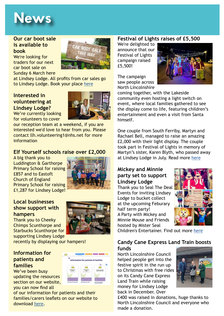![](_page_3_Picture_0.jpeg)

#### **Our car boot sale is available to book**

We're looking for traders for our next car boot sale on Sunday 6 March here

![](_page_3_Picture_3.jpeg)

at Lindsey Lodge. All profits from car sales go to Lindsey Lodge. Book your place [here](https://tinyurl.com/bdz4ksub)

#### **Interested in volunteering at Lindsey Lodge?**

![](_page_3_Picture_6.jpeg)

We're currently looking for volunteers to cover

our reception team at a weekend, if you are interested we'd love to hear from you. Please contact llh.volunteering1@nhs.net for more information

#### **Elf Yourself schools raise over £2,000**

A big thank you to Luddington & Garthorpe Primary School for raising £857 and to Eastoft Church of England Primary School for raising £1,287 for Lindsey Lodge!

![](_page_3_Picture_11.jpeg)

#### **Local businesses show support with hampers**

Thank you to Cheeky Chimps Scunthorpe and Starbucks Scunthorpe for supporting Lindsey Lodge

recently by displaying our hampers!

#### **Information for patients and families**

We've been busy updating the resources section on our website, you can now find all

![](_page_3_Picture_17.jpeg)

#### **Festival of Lights raises of £5,500**

We're delighted to announce that our Festival of Lights campaign raised £5,500!

The campaign saw people across North Lincolnshire

![](_page_3_Picture_21.jpeg)

coming together, with the Lakeside community even hosting a light switch on event, where local families gathered to see the display come to life, featuring children's entertainment and even a visit from Santa himself.

One couple from South Ferriby, Martyn and Rachael Bell, managed to raise an amazing £2,000 with their light display. The couple took part in Festival of Lights in memory of Martyn's sister, Karen Blyth, who passed away at Lindsey Lodge in July. Read more [here](https://tinyurl.com/mtncvjnn
)

#### **Mickey and Minnie party set to support Lindsey Lodge**

Thank you to Seal The Deal Events for inviting Lindsey Lodge to bucket collect at the upcoming Feburary half term party! A Party with Mickey and Minnie Mouse and Friends hosted by Mister Seal

![](_page_3_Picture_26.jpeg)

Children's Entertainer. Find out more [here](https://www.facebook.com/OfficialSealTheDeal/)

#### **Candy Cane Express Land Train boosts funds**

North Lincolnshire Council helped people get into the festive spirit in the run up to Christmas with free rides on its Candy Cane Express Land Train while raising money for Lindsey Lodge back in December. Over

![](_page_3_Picture_30.jpeg)

£400 was raised in donations, huge thanks to North Lincolnshire Council and everyone who made a donation.

![](_page_3_Picture_32.jpeg)

**iformation for patients & families**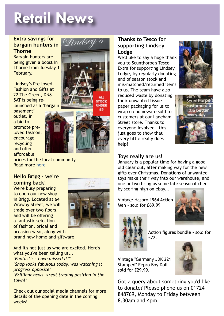# **Retail News**

#### **Extra savings for bargain hunters in Thorne**

Bargain hunters are being given a boost in Thorne from Tuesday 1 February.

Lindsey's Pre-loved Fashion and Gifts at 22 The Green, DN8 5AT is being relaunched as a 'bargain

basement' outlet, in a bid to promote preloved fashion, encourage recycling and offer affordable

![](_page_4_Picture_5.jpeg)

prices for the local community. Read more here

#### **Hello Brigg - we're coming back!**

We're busy preparing to open our new shop in Brigg. Located at 64 Wrawby Street, we will trade over two floors, and will be offering a fantastic selection of fashion, bridal and occasion wear, along with brand new home and giftware.

![](_page_4_Picture_9.jpeg)

And it's not just us who are excited. Here's what you've been telling us...

*"Fantastic - have missed it!"*

*"Shop looks fabulous today, was watching it progress opposite"*

*"Brilliant news, great trading position in the town!"*

Check out our social media channels for more details of the opening date in the coming weeks!

#### **Thanks to Tesco for supporting Lindsey Lodge**

We'd like to say a huge thank you to Scunthorpe's Tesco Extra for supporting Lindsey Lodge, by regularly donating end of season stock and mis-matched/returned items to us. The team have also reduced waste by donating their unwanted tissue paper packaging for us to wrap up homeware sold to customers at our Laneham Street store. Thanks to everyone involved - this just goes to show that every little really does help!

![](_page_4_Picture_17.jpeg)

![](_page_4_Picture_18.jpeg)

#### **Toys really are us!**

January is a popular time for having a good old clear out, after making way for the new gifts over Christmas. Donations of unwanted toys make their way into our warehouse, and one or two bring us some late seasonal cheer by scoring high on ebay...

Vintage Hasbro 1964 Action Men - sold for £69.99

![](_page_4_Picture_22.jpeg)

![](_page_4_Picture_23.jpeg)

Action figures bundle - sold for £72.

Vintage "Germany JDK 221 Stamped" Repro Boy Doll sold for £29.99.

Got a query about something you'd like to donate? Please phone us on 01724 848769, Monday to Friday between 8.30am and 4pm.